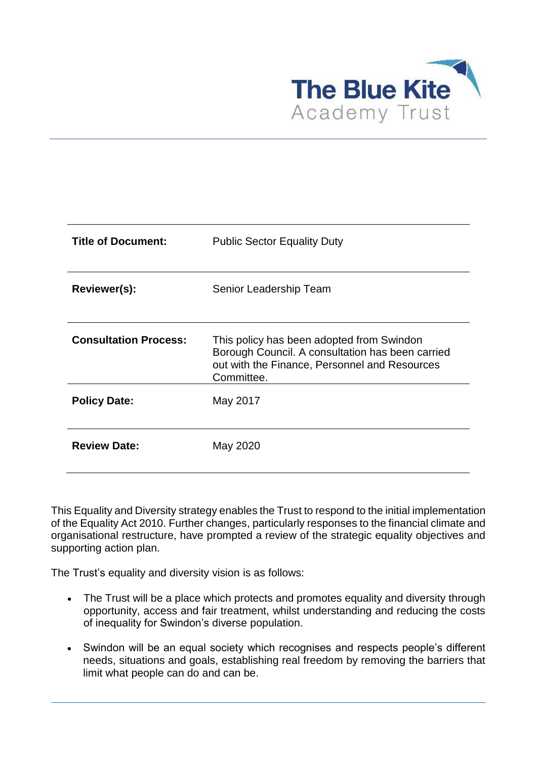

| <b>Title of Document:</b>    | <b>Public Sector Equality Duty</b>                                                                                                                           |
|------------------------------|--------------------------------------------------------------------------------------------------------------------------------------------------------------|
| Reviewer(s):                 | Senior Leadership Team                                                                                                                                       |
| <b>Consultation Process:</b> | This policy has been adopted from Swindon<br>Borough Council. A consultation has been carried<br>out with the Finance, Personnel and Resources<br>Committee. |
| <b>Policy Date:</b>          | May 2017                                                                                                                                                     |
| <b>Review Date:</b>          | May 2020                                                                                                                                                     |

This Equality and Diversity strategy enables the Trust to respond to the initial implementation of the Equality Act 2010. Further changes, particularly responses to the financial climate and organisational restructure, have prompted a review of the strategic equality objectives and supporting action plan.

The Trust's equality and diversity vision is as follows:

- The Trust will be a place which protects and promotes equality and diversity through opportunity, access and fair treatment, whilst understanding and reducing the costs of inequality for Swindon's diverse population.
- Swindon will be an equal society which recognises and respects people's different needs, situations and goals, establishing real freedom by removing the barriers that limit what people can do and can be.